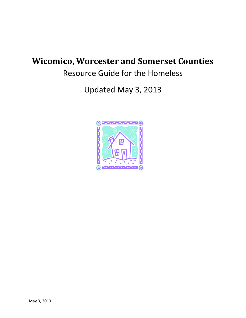# **Wicomico, Worcester and Somerset Counties**

Resource Guide for the Homeless

Updated May 3, 2013

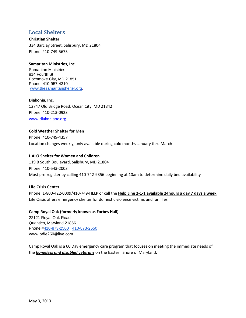# **Local Shelters**

#### **Christian Shelter**

334 Barclay Street, Salisbury, MD 21804 Phone: 410-749-5673

#### **Samaritan Ministries, Inc.**

Samaritan Ministries 814 Fourth St Pocomoke City, MD 21851 Phone: 410-957-4310 [www.thesamaritanshelter.org,](http://www.thesamaritanshelter.org/)

**Diakonia, Inc.** 12747 Old Bridge Road, Ocean City, MD 21842 Phone: 410-213-0923 [www.diakoniaoc.org](http://www.diakoniaoc.org/)

#### **Cold Weather Shelter for Men**

Phone: 410-749-4357 Location changes weekly, only available during cold months January thru March

#### **HALO Shelter for Women and Children**

119 B South Boulevard, Salisbury, MD 21804 Phone: 410-543-2003 Must pre-register by calling 410-742-9356 beginning at 10am to determine daily bed availability

# **Life Crisis Center**

Phone: 1-800-422-0009/410-749-HELP or call the **Help Line 2-1-1 available 24hours a day 7 days a week** Life Crisis offers emergency shelter for domestic violence victims and families.

# **Camp Royal Oak (formerly known as Forbes Hall)**

22121 Royal Oak Road Quantico, Maryland 21856 Phone [#410-873-2500](tel:410-873-2500) [410-873-2550](tel:410-873-2550) [www.odie260@live.com](http://www.odie260@live.com/)

Camp Royal Oak is a 60 Day emergency care program that focuses on meeting the immediate needs of the *homeless and disabled veterans* on the Eastern Shore of Maryland.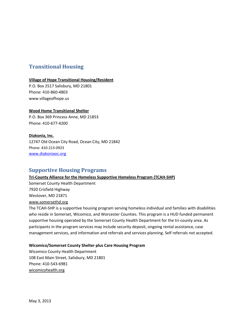# **Transitional Housing**

#### **Village of Hope Transitional Housing/Resident**

P.O. Box 2517 Salisbury, MD 21801 Phone: 410-860-4803 www.villageofhope.us

#### **Wood Home Transitional Shelter**

P.O. Box 369 Princess Anne, MD 21853 Phone: 410-677-4200

#### **Diakonia, Inc.**

12747 Old Ocean City Road, Ocean City, MD 21842 Phone: 410-213-0923 [www.diakoniaoc.org](http://www.diakoniaoc.org/)

# **Supportive Housing Programs**

# **Tri-County Alliance for the Homeless Supportive Homeless Program (TCAH-SHP)**

Somerset County Health Department 7920 Crisfield Highway Westover, MD 21871 [www.somersethd.org](http://www.somersethd.org/)

The TCAH-SHP is a supportive housing program serving homeless individual and families with disabilities who reside in Somerset, Wicomico, and Worcester Counties. This program is a HUD funded permanent supportive housing operated by the Somerset County Health Department for the tri-county area. As participants in the program services may include security deposit, ongoing rental assistance, case management services, and information and referrals and services planning. Self referrals not accepted.

#### **Wicomico/Somerset County Shelter plus Care Housing Program**

Wicomico County Health Department 108 East Main Street, Salisbury, MD 21801 Phone: 410-543-6981 wicomicohealth.org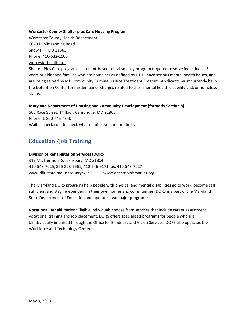#### **Worcester County Shelter plus Care Housing Program**

Worcester County Health Department 6040 Public Landing Road Snow Hill, MD 21863 Phone: 410-632-1100 worcesterhealth.org Shelter Plus Care program is a tenant-based rental subsidy program targeted to serve individuals 18

years or older and families who are homeless as defined by HUD, have serious mental health issues, and are being served by MD Community Criminal Justice Treatment Program. Applicants must currently be in the Detention Center for misdemeanor charges related to their mental health disability and/or homeless status.

#### **Maryland Department of Housing and Community Development (formerly Section 8)**

503 Race Street, 1<sup>st</sup> floor, Cambridge, MD 21863 Phone: 1-800-445-4340 Waitlistcheck.com to check what number you are on the list

# **Education /Job Training**

#### **Division of Rehabilitation Services (DORS**

917 Mt. Hermon Rd, Salisbury, MD 21804 410-548-7025, 866-223-2661, 410-546-9171 fax: 410-543-7027 [www.dllr.state.md.us/county/wic](http://www.dllr.state.md.us/county/wic) [www.onestopjobmarket.org](http://www.onestopjobmarket.org/)

The Maryland DORS programs help people with physical and mental disabilities go to work, become self sufficient and stay independent in their own homes and communities. DORS is a part of the Maryland State Department of Education and operates two major programs:

**Vocational Rehabilitation:** Eligible individuals choose from services that include career assessment, vocational training and job placement. DORS offers specialized programs for people who are blind/visually impaired through the Office for Blindness and Vision Services. DORS also operates the Workforce and Technology Center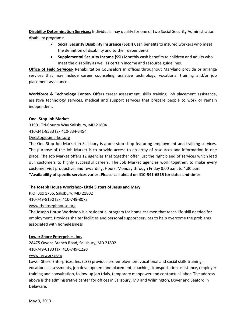**Disability Determination Services:** Individuals may qualify for one of two Social Security Administration disability programs:

- $\bullet$ **Social Security Disability Insurance (SSDI)** Cash benefits to insured workers who meet the definition of disability and to their dependents.
- **Supplemental Security Income (SSI)** Monthly cash benefits to children and adults who meet the disability as well as certain income and resource guidelines.

**Office of Field Services-** Rehabilitation Counselors in offices throughout Maryland provide or arrange services that may include career counseling, assistive technology, vocational training and/or job placement assistance.

**Workforce & Technology Center-** Offers career assessment, skills training, job placement assistance, assistive technology services, medical and support services that prepare people to work or remain independent.

# **One -Stop Job Market**

31901 Tri-County Way Salisbury, MD 21804 410-341-8533 fax 410-334-3454 Onestopjobmarket.org

The One-Stop Job Market in Salisbury is a one stop shop featuring employment and training services. The purpose of the Job Market is to provide access to an array of resources and information in one place. The Job Market offers 12 agencies that together offer just the right blend of services which lead our customers to highly successful careers. The Job Market agencies work together, to make every customer visit productive, and rewarding. Hours: Monday through Friday 8:00 a.m. to 4:30 p.m. **\*Availability of specific services varies. Please call ahead on 410-341-6515 for dates and times**

# **The Joseph House Workshop- Little Sisters of Jesus and Mary**

P.O. Box 1755, Salisbury, MD 21802

410-749-8150 fax: 410-749-8073

#### [www.thejosephhouse.org](http://www.thejosephhouse.org/)

The Joseph House Workshop is a residential program for homeless men that teach life skill needed for employment. Provides shelter facilities and personal support services to help overcome the problems associated with homelessness

#### **Lower Shore Enterprises, Inc.**

28475 Owens Branch Road, Salisbury, MD 21802 410-749-6183 fax: 410-749-1220

#### [www.lseworks.org](http://www.lseworks.org/)

Lower Shore Enterprises, Inc. (LSE) provides pre-employment vocational and social skills training, vocational assessments, job development and placement, coaching, transportation assistance, employer training and consultation, follow-up job trials, temporary manpower and contractual labor. The address above is the administrative center for offices in Salisbury, MD and Wilmington, Dover and Seaford in Delaware.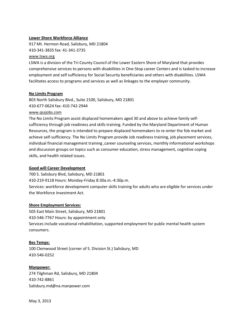#### **Lower Shore Workforce Alliance**

917 Mt. Hermon Road, Salisbury, MD 21804

410-341-3835 fax: 41-341-3735

#### [www.lswa.org](http://www.lswa.org/)

LSWA is a division of the Tri-County Council of the Lower Eastern Shore of Maryland that provides comprehensive services to persons with disabilities in One-Stop career Centers and is tasked to increase employment and self sufficiency for Social Security beneficiaries and others with disabilities. LSWA facilitates access to programs and services as well as linkages to the employer community.

#### **No Limits Program**

803 North Salisbury Blvd., Suite 2100, Salisbury, MD 21801 410-677-0624 fax: 410-742-2944

#### [www.qssjobs.com](http://www.qssjobs.com/)

The No Limits Program assist displaced homemakers aged 30 and above to achieve family selfsufficiency through job readiness and skills training. Funded by the Maryland Department of Human Resources, the program is intended to prepare displaced homemakers to re-enter the fob market and achieve self-sufficiency. The No Limits Program provide Job readiness training, job placement services, individual financial management training ,career counseling services, monthly informational workshops and discussion groups on topics such as consumer education, stress management, cognitive coping skills, and health related issues.

# **Good will Career Development**

700 S. Salisbury Blvd, Salisbury, MD 21801

410-219-9118 Hours: Monday-Friday 8:30a.m.-4:30p.m.

Services: workforce development computer skills training for adults who are eligible for services under the Workforce Investment Act.

# **Shore Employment Services:**

505 East Main Street, Salisbury, MD 21801 410-546-7767 Hours: by appointment only Services include vocational rehabilitation, supported employment for public mental health system consumers.

# **Bes Temps:**

100 Clemwood Street (corner of S. Division St.) Salisbury, MD 410-546-0252

#### **Manpower:**

274 Tilghman Rd, Salisbury, MD 21804 410-742-8861 Salisbury.md@na.manpower.com

May 3, 2013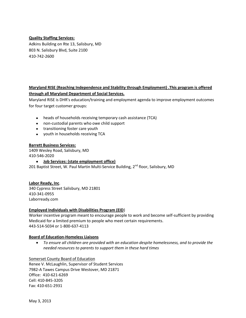# **Quality Staffing Services:**

Adkins Building on Rte 13, Salisbury, MD 803 N. Salisbury Blvd, Suite 2100 410-742-2600

# **Maryland RISE (Reaching Independence and Stability through Employment) .This program is offered through all Maryland Department of Social Services.**

Maryland RISE is DHR's education/training and employment agenda to improve employment outcomes for four target customer groups:

- heads of households receiving temporary cash assistance (TCA)
- non-custodial parents who owe child support
- transitioning foster care youth
- youth in households receiving TCA

#### **Barrett Business Services:**

1409 Wesley Road, Salisbury, MD 410-546-2020

#### **Job Services: (state employment office)**

201 Baptist Street, W. Paul Martin Multi-Service Building,  $2^{nd}$  floor, Salisbury, MD

# **Labor Ready, Inc**.

340 Cypress Street Salisbury, MD 21801 410-341-0955 Laborready.com

#### **Employed Individuals with Disabilities Program (EID**)

Worker incentive program meant to encourage people to work and become self-sufficient by providing Medicaid for a limited premium to people who meet certain requirements. 443-514-5034 or 1-800-637-4113

#### **Board of Education-Homeless Liaisons**

*To ensure all children are provided with an education despite homelessness, and to provide the needed resources to parents to support them in these hard times*

Somerset County Board of Education Renee V. McLaughlin, Supervisor of Student Services 7982-A Tawes Campus Drive Westover, MD 21871 Office: 410-621-6269 Cell: 410-845-3205 Fax: 410-651-2931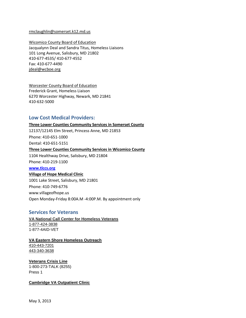#### [rmclaughlin@somerset.k12.md.us](mailto:rmclaughlin@somerset.k12.md.us)

Wicomico County Board of Education Jacqualynn Deal and Sandra Titus, Homeless Liaisons 101 Long Avenue, Salisbury, MD 21802 410-677-4535/ 410-677-4552 Fax: 410-677-4490 [jdeal@wcboe.org](mailto:jdeal@wcboe.org)

Worcester County Board of Education Frederick Grant, Homeless Liaison 6270 Worcester Highway, Newark, MD 21841 410-632-5000

# **Low Cost Medical Providers:**

## **Three Lower Counties Community Services in Somerset County**

12137/12145 Elm Street, Princess Anne, MD 21853 Phone: 410-651-1000 Dental: 410-651-5151 **Three Lower Counties Community Services in Wicomico County** 1104 Healthway Drive, Salisbury, MD 21804 Phone: 410-219-1100 **[www.tlccs.org](http://www.tlccs.org/) Village of Hope Medical Clinic** 1001 Lake Street, Salisbury, MD 21801

Phone: 410-749-6776 www.villageofhope.us Open Monday-Friday 8:00A.M -4:00P.M. By appointment only

#### **Services for Veterans**

**VA National Call Center for Homeless Veterans** [1-877-424-3838](tel:1-877-424-3838) 1-877-4AID-VET

#### **VA Eastern Shore Homeless Outreach**

[410-443-7201](tel:410-443-7201) [443-340-3638](tel:443-340-3638)

**Veterans Crisis Line** 1-800-273-TALK (8255) Press 1

**Cambridge VA Outpatient Clinic**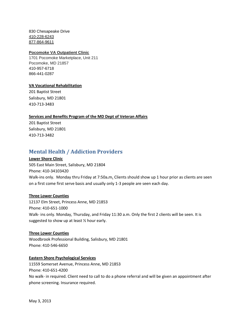830 Chesapeake Drive [410-228-6243](tel:410-228-6243) [877-864-9611](tel:877-864-9611)

#### **Pocomoke VA Outpatient Clinic**

1701 Pocomoke Marketplace, Unit 211 Pocomoke, MD 21857 [410-957-6718](tel:410-957-6718) [866-441-0287](tel:866-441-0287)

#### **VA Vocational Rehabilitation**

201 Baptist Street Salisbury, MD 21801 410-713-3483

#### **Services and Benefits Program of the MD Dept of Veteran Affairs**

201 Baptist Street Salisbury, MD 21801 410-713-3482

# **Mental Health / Addiction Providers**

#### **Lower Shore Clinic**

505 East Main Street, Salisbury, MD 21804 Phone: 410-34103420 Walk-ins only. Monday thru Friday at 7:50a**.**m**.** Clients should show up 1 hour prior as clients are seen on a first come first serve basis and usually only 1-3 people are seen each day.

#### **Three Lower Counties**

12137 Elm Street, Princess Anne, MD 21853 Phone: 410-651-1000 Walk- ins only. Monday, Thursday, and Friday 11:30 a.m. Only the first 2 clients will be seen. It is suggested to show up at least ½ hour early.

#### **Three Lower Counties**

Woodbrook Professional Building, Salisbury, MD 21801 Phone: 410-546-6650

#### **Eastern Shore Psychological Services**

11559 Somerset Avenue, Princess Anne, MD 21853 Phone: 410-651-4200 No walk- in required. Client need to call to do a phone referral and will be given an appointment after phone screening. Insurance required.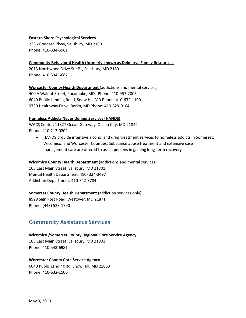#### **Eastern Shore Psychological Services**

2336 Goddard Pkwy, Salisbury, MD 21801 Phone: 410-334-6961

**Community Behavioral Health (formerly known as Delmarva Family Resources)**

2013 Northwood Drive Ste #1, Salisbury, MD 21801 Phone: 410-334-6687

**Worcester County Health Department** (addictions and mental services) 400 A Walnut Street, Pocomoke, MD Phone: 410-957-2005 6040 Public Landing Road, Snow Hill MD Phone: 410-632-1100 9730 Healthway Drive, Berlin, MD Phone: 410-629-0164

#### **Homeless Addicts Never Denied Services (HANDS)**

WACS Center, 11827 Ocean Gateway, Ocean City, MD 21842 Phone: 410-213-0202

HANDS provide intensive alcohol and drug treatment services to homeless addicts in Somerset, Wicomico, and Worcester Counties. Substance abuse treatment and extensive case management care are offered to assist persons in gaining long-term recovery

#### **Wicomico County Health Department** (addictions and mental services)

108 East Main Street, Salisbury, MD 21801 Mental Health Department: 410- 334-3497 Addiction Department: 410-742-3784

# **Somerset County Health Department** (addiction services only)

8928 Sign Post Road, Westover, MD 21871 Phone: (443) 523-1790

# **Community Assistance Services**

**Wicomico /Somerset County Regional Core Service Agency** 108 East Main Street, Salisbury, MD 21801 Phone: 410-543-6981

#### **Worcester County Core Service Agency**

6040 Public Landing Rd, Snow Hill, MD 21863 Phone: 410-632-1100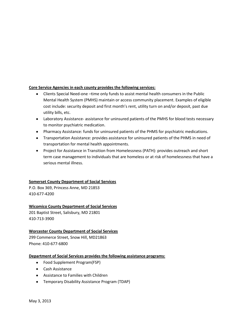# **Core Service Agencies in each county provides the following services:**

- Clients Special Need-one –time only funds to assist mental health consumers in the Public Mental Health System (PMHS) maintain or access community placement. Examples of eligible cost include: security deposit and first month's rent, utility turn on and/or deposit, past due utility bills, etc.
- Laboratory Assistance- assistance for uninsured patients of the PMHS for blood tests necessary to monitor psychiatric medication.
- Pharmacy Assistance: funds for uninsured patients of the PHMS for psychiatric medications.
- Transportation Assistance: provides assistance for uninsured patients of the PHMS in need of transportation for mental health appointments.
- Project for Assistance in Transition from Homelessness (PATH): provides outreach and short term case management to individuals that are homeless or at risk of homelessness that have a serious mental illness.

#### **Somerset County Department of Social Services**

P.O. Box 369, Princess Anne, MD 21853 410-677-4200

# **Wicomico County Department of Social Services**

201 Baptist Street, Salisbury, MD 21801 410-713-3900

# **Worcester County Department of Social Services**

299 Commerce Street, Snow Hill, MD21863 Phone: 410-677-6800

#### **Department of Social Services provides the following assistance programs:**

- Food Supplement Program(FSP)
- Cash Assistance
- Assistance to Families with Children
- Temporary Disability Assistance Program (TDAP)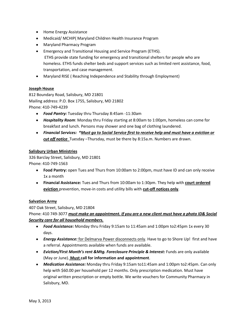- Home Energy Assistance
- Medicaid/ MCHIP( Maryland Children Health Insurance Program
- Maryland Pharmacy Program
- Emergency and Transitional Housing and Service Program (ETHS). ETHS provide state funding for emergency and transitional shelters for people who are homeless. ETHS funds shelter beds and support services such as limited rent assistance, food, transportation, and case management.
- Maryland RISE ( Reaching Independence and Stability through Employment)

#### **Joseph House**

812 Boundary Road, Salisbury, MD 21801 Mailing address: P.O. Box 1755, Salisbury, MD 21802 Phone: 410-749-4239

- *Food Pantry:* Tuesday thru Thursday 8:45am -11:30am
- *Hospitality Room*: Monday thru Friday starting at 8:00am to 1:00pm, homeless can come for breakfast and lunch. Persons may shower and one bag of clothing laundered.
- *Financial Services: \*Must go to Social Service first to receive help and must have a eviction or cut off notice* Tuesday –Thursday, must be there by 8:15a.m. Numbers are drawn.

#### **Salisbury Urban Ministries**

326 Barclay Street, Salisbury, MD 21801 Phone: 410-749-1563

- **Food Pantry:** open Tues and Thurs from 10:00am to 2:00pm, must have ID and can only receive 1x a month
- **Financial Assistance:** Tues and Thurs from 10:00am to 1:30pm. They help with **court ordered eviction** prevention, move-in costs and utility bills with **cut-off notices only**.

#### **Salvation Army**

407 Oak Street, Salisbury, MD 21804 Phone: 410 749-3077 *must make an appointment. If you are a new client must have a photo ID& Social Security care for all household members.*

- *Food Assistance:* Monday thru Friday 9:15am to 11:45am and 1:00pm to2:45pm 1x every 30 days.
- **Energy Assistance:** for Delmarva Power disconnects only. Have to go to Shore Up! first and have a referral. Appointments available when funds are available.
- *Eviction/First Month's rent &Mtg. Foreclosure Principle & Interest:* Funds are only available (May or June). **Must call for information and appointment**.
- *Medication Assistance:* Monday thru Friday 9:15am to11:45am and 1:00pm to2:45pm. Can only help with \$60.00 per household per 12 months. Only prescription medication. Must have original written prescription or empty bottle. We write vouchers for Community Pharmacy in Salisbury, MD.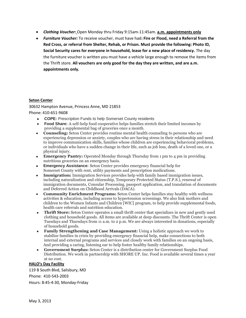- *Clothing Voucher:* Open Monday thru Friday 9:15am-11:45am. **a.m. appointments only**
- *Furniture Voucher:* To receive voucher, must have had**: Fire or Flood, need a Referral from the Red Cross, or referral from Shelter, Rehab, or Prison. Must provide the following: Photo ID, Social Security cares for everyone in household, lease for a new place of residency.** The day the furniture voucher is written you must have a vehicle large enough to remove the items from the Thrift store. **All vouchers are only good for the day they are written, and are a.m. appointments only.**

#### **Seton Center**

# 30632 Hampton Avenue, Princess Anne, MD 21853

Phone: 410-651-9608

- **COPE:** Prescription Funds to help Somerset County residents
- **Food Share:** A self-help food cooperative helps families stretch their limited incomes by providing a supplemental bag of groceries once a month.
- **Counseling:** Seton Center provides routine mental health counseling to persons who are experiencing depression or anxiety, couples who are having stress in their relationship and need to improve communication skills, families whose children are experiencing behavioral problems, or individuals who have a sudden change in their life, such as job loss, death of a loved one, or a physical injury.
- **Emergency Pantry:** Operated Monday through Thursday from 1 pm to 4 pm in providing nutritious groceries on an emergency basis.
- **Emergency Assistance:** Seton Center provides emergency financial help for Somerset County with rent, utility payments and prescription medications.
- **Immigration:** Immigration Services provides help with family based immigration issues,  $\bullet$ including naturalization and citizenship, Temporary Protected Status (T.P.S.), renewal of immigration documents, Consular Processing, passport application, and translation of documents and Deferred Action on Childhood Arrivals (DACA).
- **Community Enrichment Programs:** Seton Center helps families stay healthy with wellness activities & education, including access to hypertension screenings. We also link mothers and children to the Women Infants and Children [WIC] program, to help provide supplemental foods, health care referrals and nutrition education.
- **Thrift Store:** Seton Center operates a small thrift center that specializes in new and gently used clothing and household goods. All items are available at deep discounts. The Thrift Center is open Tuesdays and Thursdays from 11 a.m. to 2 p.m. We are always interested in donations, especially of household goods.
- $\bullet$ **Family Strengthening and Case Management:** Using a holistic approach we work to stabilize families in crisis by providing emergency financial help, make connections to both internal and external programs and services and closely work with families on an ongoing basis, And providing a caring, listening ear to help foster healthy family relationships.
- **Government Surplus:** Seton Center is a distribution center for Government Surplus Food  $\bullet$ Distribution. We work in partnership with SHORE UP. Inc. Food is available several times a year at no cost.

#### **HALO's Day Facility**

119 B South Blvd, Salisbury, MD Phone: 410-543-2003 Hours: 8:45-4:30, Monday-Friday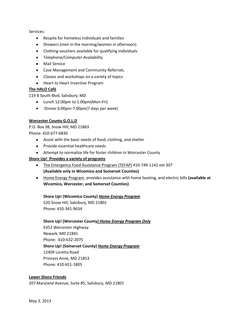Services:

- Respite for homeless individuals and families
- Showers (men in the morning/women in afternoon)
- Clothing vouchers available for qualifying individuals
- Telephone/Computer Availability
- Mail Service
- Case Management and Community Referrals.
- Classes and workshops on a variety of topics
- Heart to Heart Incentive Program

#### **The HALO Café**

119 B South Blvd, Salisbury, MD

- Lunch 12:00pm to 1:00pm(Mon-Fri)
- $\bullet$ Dinner 6:00pm-7:00pm(7 days per week)

#### **Worcester County G.O.L.D**

P.O. Box 38, Snow Hill, MD 21863 Phone: 410-677-6830

- Assist with the basic needs of food, clothing, and shelter
- Provide essential healthcare needs
- Attempt to normalize life for foster children in Worcester County

#### **Shore Up! Provides a variety of programs**

- The Emergency Food Assistance Program (TEFAP) 410-749-1142 ext 307 **(Available only in Wicomico and Somerset Counties)**
- Home Energy Program- provides assistance with home heating, and electric bills **(available at Wicomico, Worcester, and Somerset Counties)**

#### **Shore Up! (Wicomico County)** *Home Energy Program*

520 Snow Hill, Salisbury, MD 21801 Phone: 410-341-9634

#### **Shore Up! (Worcester County***) Home Energy Program Only*

6352 Worcester Highway Newark, MD 21841 Phone: 410-632-2075 **Shore Up! (Somerset County)** *Home Energy Program*  12409 Loretta Road Princess Anne, MD 21853 Phone: 410-651-1805

#### **Lower Shore Friends**

207 Maryland Avenue, Suite #5, Salisbury, MD 21801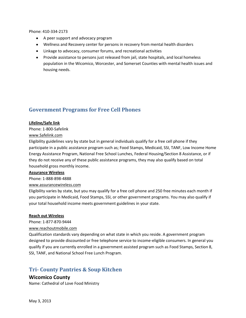Phone: 410-334-2173

- A peer support and advocacy program
- Wellness and Recovery center for persons in recovery from mental health disorders
- Linkage to advocacy, consumer forums, and recreational activities
- Provide assistance to persons just released from jail, state hospitals, and local homeless population in the Wicomico, Worcester, and Somerset Counties with mental health issues and housing needs.

# **Government Programs for Free Cell Phones**

#### **Lifeline/Safe link**

Phone: 1-800-Safelink

[www.Safelink.com](http://www.safelink.com/)

Eligibility guidelines vary by state but in general individuals qualify for a free cell phone if they participate in a public assistance program such as; Food Stamps, Medicaid, SSI, TANF, Low Income Home Energy Assistance Program, National Free School Lunches, Federal Housing/Section 8 Assistance, or if they do not receive any of these public assistance programs, they may also qualify based on total household gross monthly income.

#### **Assurance Wireless**

Phone: 1-888-898-4888

[www.assurancewireless.com](http://www.assurancewireless.com/)

Eligibility varies by state, but you may qualify for a free cell phone and 250 free minutes each month if you participate in Medicaid, Food Stamps, SSI, or other government programs. You may also qualify if your total household income meets government guidelines in your state.

#### **Reach out Wireless**

Phone: 1-877-870-9444

[www.reachoutmobile.com](http://www.reachoutmobile.com/)

Qualification standards vary depending on what state in which you reside. A government program designed to provide discounted or free telephone service to income-eligible consumers. In general you qualify if you are currently enrolled in a government assisted program such as Food Stamps, Section 8, SSI, TANF, and National School Free Lunch Program.

# **Tri- County Pantries & Soup Kitchen**

# **Wicomico County**

Name: Cathedral of Love Food Ministry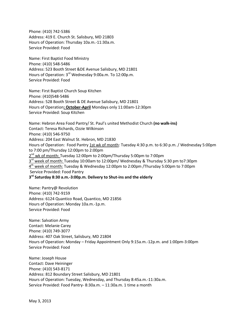Phone: (410) 742-5386 Address: 419 E. Church St. Salisbury, MD 21803 Hours of Operation: Thursday 10a.m.-11:30a.m. Service Provided: Food

Name: First Baptist Food Ministry Phone: (410) 548-5486 Address: 523 Booth Street &DE Avenue Salisbury, MD 21801 Hours of Operation: 3<sup>rd</sup> Wednesday 9:00a.m. To 12:00p.m. Service Provided: Food

Name: First Baptist Church Soup Kitchen Phone: (410)548-5486 Address: 528 Booth Street & DE Avenue Salisbury, MD 21801 Hours of Operation**: October-April** Mondays only 11:00am-12:30pm Service Provided: Soup Kitchen

Name: Hebron Area Food Pantry/ St. Paul's united Methodist Church **(no walk-ins)** Contact: Teresa Richards, Ozzie Wilkinson Phone: (410) 546-9750 Address: 204 East Walnut St. Hebron, MD 21830 Hours of Operation: Food Pantry 1st wk of month: Tuesday 4:30 p.m. to 6:30 p.m. / Wednesday 5:00pm to 7:00 pm/Thursday 12:00pm to 2:00pm 2<sup>nd</sup> wk of month: Tuesday 12:00pm to 2:00pm/Thursday 5:00pm to 7:00pm 3<sup>rd</sup> week of month: Tuesday 10:00am to 12:00pm/ Wednesday & Thursday 5:30 pm to7:30pm 4 th week of month: Tuesday & Wednesday 12:00pm to 2:00pm /Thursday 5:00pm to 7:00pm Service Provided: Food Pantry **3 rd Saturday 8:30 a.m.-3:00p.m. Delivery to Shut-ins and the elderly**

Name: Pantry@ Revolution Phone: (410) 742-9159 Address: 6124 Quantico Road, Quantico, MD 21856 Hours of Operation: Monday 10a.m.-1p.m. Service Provided: Food

Name: Salvation Army Contact: Melanie Carey Phone: (410) 749-3077 Address: 407 Oak Street, Salisbury, MD 21804 Hours of Operation: Monday – Friday Appointment Only 9:15a.m.-12p.m. and 1:00pm-3:00pm Service Provided: Food

Name: Joseph House Contact: Dave Heininger Phone: (410) 543-8171 Address: 812 Boundary Street Salisbury, MD 21801 Hours of Operation: Tuesday, Wednesday, and Thursday 8:45a.m.-11:30a.m. Service Provided: Food Pantry- 8:30a.m. – 11:30a.m. 1 time a month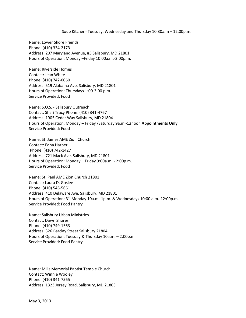#### Soup Kitchen- Tuesday, Wednesday and Thursday 10:30a.m – 12:00p.m.

Name: Lower Shore Friends Phone: (410) 334-2173 Address: 207 Maryland Avenue, #5 Salisbury, MD 21801 Hours of Operation: Monday –Friday 10:00a.m.-2:00p.m.

Name: Riverside Homes Contact: Jean White Phone: (410) 742-0060 Address: 519 Alabama Ave. Salisbury, MD 21801 Hours of Operation: Thursdays 1:00-3:00 p.m. Service Provided: Food

Name: S.O.S. - Salisbury Outreach Contact: Shari Tracy Phone: (410) 341-4767 Address: 1905 Cedar Way Salisbury, MD 21804 Hours of Operation: Monday – Friday /Saturday 9a.m.-12noon **Appointments Only** Service Provided: Food

Name: St. James AME Zion Church Contact: Edna Harper Phone: (410) 742-1427 Address: 721 Mack Ave. Salisbury, MD 21801 Hours of Operation: Monday – Friday 9:00a.m. - 2:00p.m. Service Provided: Food

Name: St. Paul AME Zion Church 21801 Contact: Laura D. Goslee Phone: (410) 546-5661 Address: 410 Delaware Ave. Salisbury, MD 21801 Hours of Operation: 3<sup>rd</sup> Monday 10a.m.-1p.m. & Wednesdays 10:00 a.m.-12:00p.m. Service Provided: Food Pantry

Name: Salisbury Urban Ministries Contact: Dawn Shores Phone: (410) 749-1563 Address: 326 Barclay Street Salisbury 21804 Hours of Operation: Tuesday & Thursday 10a.m. – 2:00p.m. Service Provided: Food Pantry

Name: Mills Memorial Baptist Temple Church Contact: Winnie Wooley Phone: (410) 341-7565 Address: 1323 Jersey Road, Salisbury, MD 21803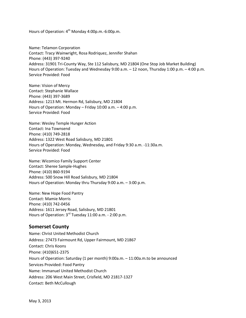Hours of Operation:  $4^{th}$  Monday 4:00p.m. -6:00p.m.

Name: Telamon Corporation Contact: Tracy Wainwright, Rosa Rodriquez, Jennifer Shahan Phone: (443) 397-9240 Address: 31901 Tri-County Way, Ste 112 Salisbury, MD 21804 (One Stop Job Market Building) Hours of Operation: Tuesday and Wednesday 9:00 a.m. – 12 noon, Thursday 1:00 p.m. – 4:00 p.m. Service Provided: Food

Name: Vision of Mercy Contact: Stephanie Wallace Phone: (443) 397-3689 Address: 1213 Mt. Hermon Rd, Salisbury, MD 21804 Hours of Operation: Monday – Friday 10:00 a.m. – 4:00 p.m. Service Provided: Food

Name: Wesley Temple Hunger Action Contact: Ina Townsend Phone: (410) 749-2818 Address: 1322 West Road Salisbury, MD 21801 Hours of Operation: Monday, Wednesday, and Friday 9:30 a.m. -11:30a.m. Service Provided: Food

Name: Wicomico Family Support Center Contact: Sheree Sample-Hughes Phone: (410) 860-9194 Address: 500 Snow Hill Road Salisbury, MD 21804 Hours of Operation: Monday thru Thursday 9:00 a.m. – 3:00 p.m.

Name: New Hope Food Pantry Contact: Mamie Morris Phone: (410) 742-0456 Address: 1611 Jersey Road, Salisbury, MD 21801 Hours of Operation: 3<sup>rd</sup> Tuesday 11:00 a.m. - 2:00 p.m.

# **Somerset County**

Name: Christ United Methodist Church Address: 27473 Fairmount Rd, Upper Fairmount, MD 21867 Contact: Chris Koons Phone: (410)651-2375 Hours of Operation: Saturday (1 per month) 9:00a.m. – 11:00a.m.to be announced Services Provided: Food Pantry Name: Immanuel United Methodist Church Address: 206 West Main Street, Crisfield, MD 21817-1327 Contact: Beth McCullough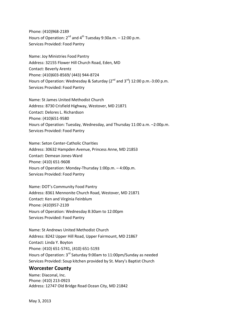Phone: (410)968-2189 Hours of Operation:  $2^{nd}$  and  $4^{th}$  Tuesday 9:30a.m.  $-12:00$  p.m. Services Provided: Food Pantry

Name: Joy Ministries Food Pantry Address: 32155 Flower Hill Church Road, Eden, MD Contact: Beverly Arentz Phone: (410)603-8569/ (443) 944-8724 Hours of Operation: Wednesday & Saturday ( $2^{nd}$  and  $3^{rd}$ ) 12:00 p.m.-3:00 p.m. Services Provided: Food Pantry

Name: St James United Methodist Church Address: 8730 Crisfield Highway, Westover, MD 21871 Contact: Delores L. Richardson Phone: (410)651-9580 Hours of Operation: Tuesday, Wednesday, and Thursday 11:00 a.m. –2:00p.m. Services Provided: Food Pantry

Name: Seton Center-Catholic Charities Address: 30632 Hampden Avenue, Princess Anne, MD 21853 Contact: Demean Jones-Ward Phone: (410) 651-9608 Hours of Operation: Monday-Thursday 1:00p.m. – 4:00p.m. Services Provided: Food Pantry

Name: DOT's Community Food Pantry Address: 8361 Mennonite Church Road, Westover, MD 21871 Contact: Ken and Virginia Feinblum Phone: (410)957-2139 Hours of Operation: Wednesday 8:30am to 12:00pm Services Provided: Food Pantry

Name: St Andrews United Methodist Church Address: 8242 Upper Hill Road, Upper Fairmount, MD 21867 Contact: Linda Y. Boyton Phone: (410) 651-5741, (410) 651-5193 Hours of Operation: 3<sup>rd</sup> Saturday 9:00am to 11:00pm/Sunday as needed Services Provided: Soup kitchen provided by St. Mary's Baptist Church

# **Worcester County**

Name: Diaconal, Inc. Phone: (410) 213-0923 Address: 12747 Old Bridge Road Ocean City, MD 21842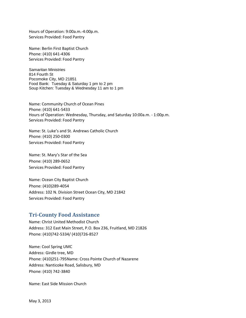Hours of Operation: 9:00a.m.-4:00p.m. Services Provided: Food Pantry

Name: Berlin First Baptist Church Phone: (410) 641-4306 Services Provided: Food Pantry

Samaritan Ministries 814 Fourth St Pocomoke City, MD 21851 Food Bank: Tuesday & Saturday 1 pm to 2 pm Soup Kitchen: Tuesday & Wednesday 11 am to 1 pm

Name: Community Church of Ocean Pines Phone: (410) 641-5433 Hours of Operation: Wednesday, Thursday, and Saturday 10:00a.m. - 1:00p.m. Services Provided: Food Pantry

Name: St. Luke's and St. Andrews Catholic Church Phone: (410) 250-0300 Services Provided: Food Pantry

Name: St. Mary's Star of the Sea Phone: (410) 289-0652 Services Provided: Food Pantry

Name: Ocean City Baptist Church Phone: (410)289-4054 Address: 102 N. Division Street Ocean City, MD 21842 Services Provided: Food Pantry

# **Tri-County Food Assistance**

Name: Christ United Methodist Church Address: 312 East Main Street, P.O. Box 236, Fruitland, MD 21826 Phone: (410)742-5334/ (410)726-8527

Name: Cool Spring UMC Address: Girdle tree, MD Phone: (410)251-795Name: Cross Pointe Church of Nazarene Address: Nanticoke Road, Salisbury, MD Phone: (410) 742-3840

Name: East Side Mission Church